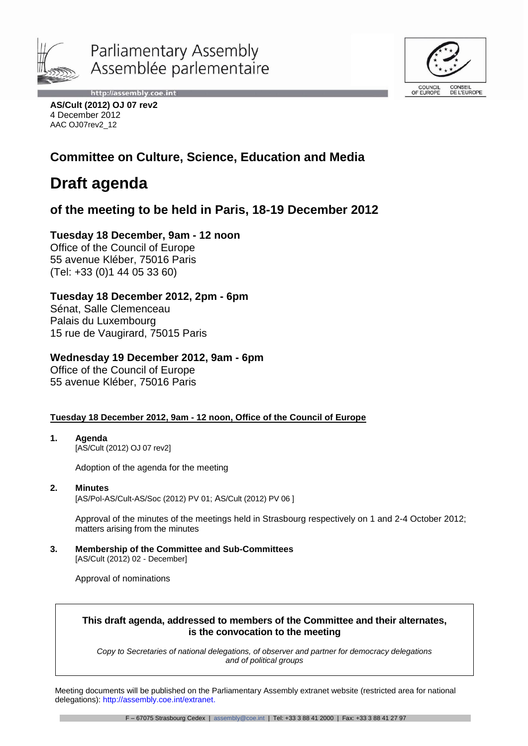



http://assembly.coe.int **AS/Cult (2012) OJ 07 rev2** 4 December 2012 AAC OJ07rev2\_12

# **Committee on Culture, Science, Education and Media**

# **Draft agenda**

# **of the meeting to be held in Paris, 18-19 December 2012**

# **Tuesday 18 December, 9am - 12 noon**

Office of the Council of Europe 55 avenue Kléber, 75016 Paris (Tel: +33 (0)1 44 05 33 60)

# **Tuesday 18 December 2012, 2pm - 6pm**

Sénat, Salle Clemenceau Palais du Luxembourg 15 rue de Vaugirard, 75015 Paris

# **Wednesday 19 December 2012, 9am - 6pm**

Office of the Council of Europe 55 avenue Kléber, 75016 Paris

# **Tuesday 18 December 2012, 9am - 12 noon, Office of the Council of Europe**

**1. Agenda** [AS/Cult (2012) OJ 07 rev2]

Adoption of the agenda for the meeting

**2. Minutes** [AS/Pol-AS/Cult-AS/Soc (2012) PV 01; AS/Cult (2012) PV 06 ]

Approval of the minutes of the meetings held in Strasbourg respectively on 1 and 2-4 October 2012; matters arising from the minutes

**3. Membership of the Committee and Sub-Committees** [AS/Cult (2012) 02 - December]

Approval of nominations

# **This draft agenda, addressed to members of the Committee and their alternates, is the convocation to the meeting**

*Copy to Secretaries of national delegations, of observer and partner for democracy delegations and of political groups*

Meeting documents will be published on the Parliamentary Assembly extranet website (restricted area for national delegations): http://assembly.coe.int/extranet.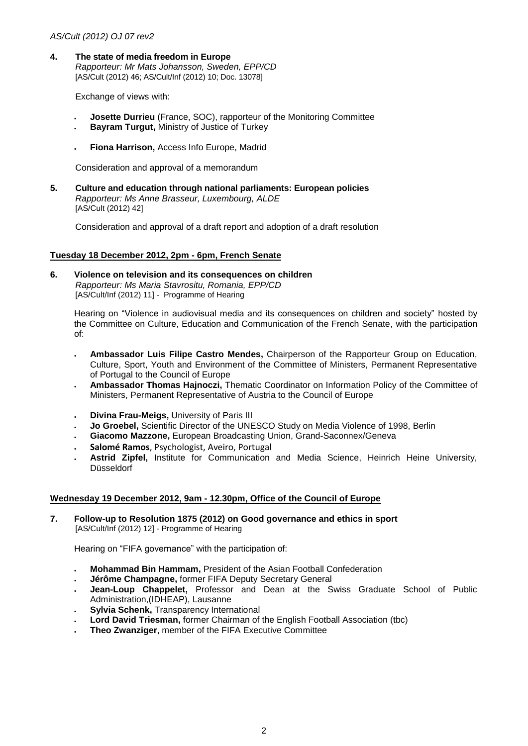### *AS/Cult (2012) OJ 07 rev2*

**4. The state of media freedom in Europe** *Rapporteur: Mr Mats Johansson, Sweden, EPP/CD*  [AS/Cult (2012) 46; AS/Cult/Inf (2012) 10; Doc. 13078]

Exchange of views with:

- **Josette Durrieu** (France, SOC), rapporteur of the Monitoring Committee
- **Bayram Turgut,** Ministry of Justice of Turkey
- **Fiona Harrison,** Access Info Europe, Madrid

Consideration and approval of a memorandum

**5. Culture and education through national parliaments: European policies** *Rapporteur: Ms Anne Brasseur, Luxembourg, ALDE* [AS/Cult (2012) 42]

Consideration and approval of a draft report and adoption of a draft resolution

### **Tuesday 18 December 2012, 2pm - 6pm, French Senate**

**6. Violence on television and its consequences on children** *Rapporteur: Ms Maria Stavrositu, Romania, EPP/CD* [AS/Cult/Inf (2012) 11] - Programme of Hearing

Hearing on "Violence in audiovisual media and its consequences on children and society" hosted by the Committee on Culture, Education and Communication of the French Senate, with the participation of:

- **Ambassador Luis Filipe Castro Mendes,** Chairperson of the Rapporteur Group on Education, Culture, Sport, Youth and Environment of the Committee of Ministers, Permanent Representative of Portugal to the Council of Europe
- **Ambassador Thomas Hajnoczi,** Thematic Coordinator on Information Policy of the Committee of Ministers, Permanent Representative of Austria to the Council of Europe
- **Divina Frau-Meigs,** University of Paris III
- **Jo Groebel,** Scientific Director of the UNESCO Study on Media Violence of 1998, Berlin
- **Giacomo Mazzone,** European Broadcasting Union, Grand-Saconnex/Geneva
- **Salomé Ramos**, Psychologist, Aveiro, Portugal
- **Astrid Zipfel,** Institute for Communication and Media Science, Heinrich Heine University, Düsseldorf

### **Wednesday 19 December 2012, 9am - 12.30pm, Office of the Council of Europe**

**7. Follow-up to Resolution 1875 (2012) on Good governance and ethics in sport** [AS/Cult/Inf (2012) 12] - Programme of Hearing

Hearing on "FIFA governance" with the participation of:

- **Mohammad Bin Hammam,** President of the Asian Football Confederation
- **Jérôme Champagne,** former FIFA Deputy Secretary General
- **Jean-Loup Chappelet,** Professor and Dean at the Swiss Graduate School of Public Administration,(IDHEAP), Lausanne
- **Sylvia Schenk,** Transparency International
- **Lord David Triesman,** former Chairman of the English Football Association (tbc)
- **Theo Zwanziger**, member of the FIFA Executive Committee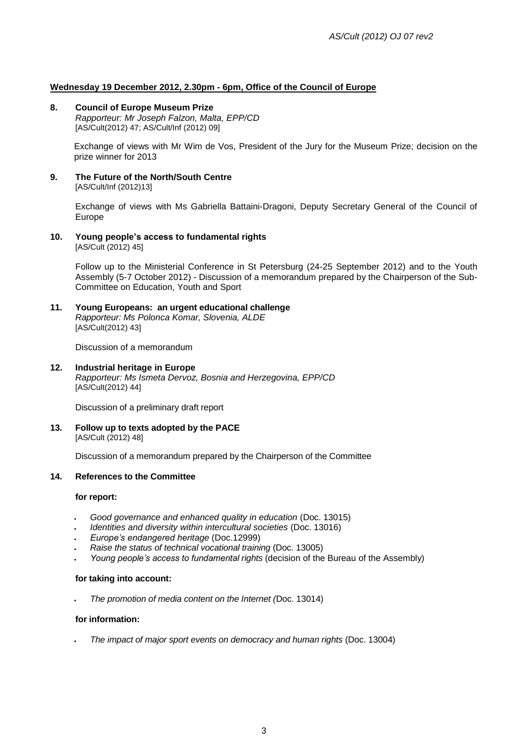# **Wednesday 19 December 2012, 2.30pm - 6pm, Office of the Council of Europe**

### **8. Council of Europe Museum Prize**

*Rapporteur: Mr Joseph Falzon, Malta, EPP/CD* [AS/Cult(2012) 47; AS/Cult/Inf (2012) 09]

Exchange of views with Mr Wim de Vos, President of the Jury for the Museum Prize; decision on the prize winner for 2013

**9. The Future of the North/South Centre** [AS/Cult/Inf (2012)13]

> Exchange of views with Ms Gabriella Battaini-Dragoni, Deputy Secretary General of the Council of Europe

**10. Young people's access to fundamental rights** [AS/Cult (2012) 45]

> Follow up to the Ministerial Conference in St Petersburg (24-25 September 2012) and to the Youth Assembly (5-7 October 2012) - Discussion of a memorandum prepared by the Chairperson of the Sub-Committee on Education, Youth and Sport

**11. Young Europeans: an urgent educational challenge** *Rapporteur: Ms Polonca Komar, Slovenia, ALDE*

[AS/Cult(2012) 43]

Discussion of a memorandum

#### **12. Industrial heritage in Europe** *Rapporteur: Ms Ismeta Dervoz, Bosnia and Herzegovina, EPP/CD* [AS/Cult(2012) 44]

Discussion of a preliminary draft report

**13. Follow up to texts adopted by the PACE** [AS/Cult (2012) 48]

Discussion of a memorandum prepared by the Chairperson of the Committee

# **14. References to the Committee**

#### **for report:**

- *Good governance and enhanced quality in education* (Doc. 13015)
- *Identities and diversity within intercultural societies* (Doc. 13016)
- *Europe's endangered heritage* (Doc.12999)
- *Raise the status of technical vocational training* (Doc. 13005)
- *Young people's access to fundamental rights* (decision of the Bureau of the Assembly)

#### **for taking into account:**

*The promotion of media content on the Internet (*Doc. 13014)

#### **for information:**

*The impact of major sport events on democracy and human rights* (Doc. 13004)